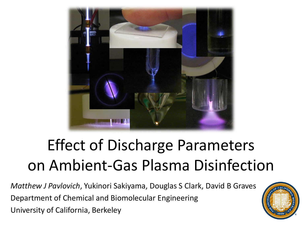

# Effect of Discharge Parameters on Ambient-Gas Plasma Disinfection

*Matthew J Pavlovich*, Yukinori Sakiyama, Douglas S Clark, David B Graves Department of Chemical and Biomolecular Engineering University of California, Berkeley

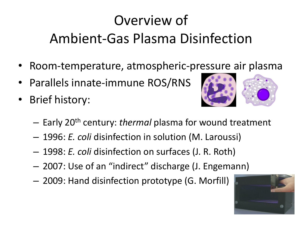## Overview of Ambient-Gas Plasma Disinfection

- Room-temperature, atmospheric-pressure air plasma
- Parallels innate-immune ROS/RNS
- Brief history:



- Early 20th century: *thermal* plasma for wound treatment
- 1996: *E. coli* disinfection in solution (M. Laroussi)
- 1998: *E. coli* disinfection on surfaces (J. R. Roth)
- 2007: Use of an "indirect" discharge (J. Engemann)
- 2009: Hand disinfection prototype (G. Morfill)

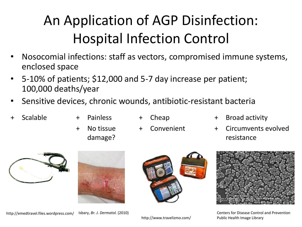# An Application of AGP Disinfection: Hospital Infection Control

- Nosocomial infections: staff as vectors, compromised immune systems, enclosed space
- 5-10% of patients; \$12,000 and 5-7 day increase per patient; 100,000 deaths/year
- Sensitive devices, chronic wounds, antibiotic-resistant bacteria
- 
- Scalable + Painless + Cheap Painless
	-
	- + No tissue damage?
- **Convenient**
- Broad activity
- + Circumvents evolved resistance









Isbary, *Br. J. Dermatol.* (2010) Centers for Disease Control and Prevention

http://emedtravel.files.wordpress.com/

http://www.travelizmo.com/ Public Health Image Library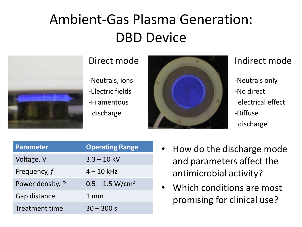### Ambient-Gas Plasma Generation: DBD Device



#### Direct mode

-Neutrals, ions -Electric fields -Filamentous discharge



#### Indirect mode

-Neutrals only -No direct electrical effect -Diffuse discharge

| <b>Parameter</b> | <b>Operating Range</b> |
|------------------|------------------------|
| Voltage, V       | $3.3 - 10$ kV          |
| Frequency, f     | $4 - 10$ kHz           |
| Power density, P | $0.5 - 1.5 W/cm2$      |
| Gap distance     | $1 \text{ mm}$         |
| Treatment time   | $30 - 300 s$           |

- How do the discharge mode and parameters affect the antimicrobial activity?
- Which conditions are most promising for clinical use?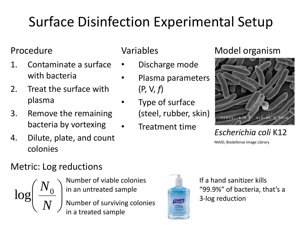## Surface Disinfection Experimental Setup

#### Procedure

- 1. Contaminate a surface with bacteria
- 2. Treat the surface with plasma
- 3. Remove the remaining bacteria by vortexing
- 4. Dilute, plate, and count colonies

#### Variables

- Discharge mode
- Plasma parameters (P, V, *f*)
- Type of surface (steel, rubber, skin)
	- Treatment time

#### Model organism



*Escherichia coli* K12

NIAID, Biodefense Image Library

#### Metric: Log reductions

 $\overline{\phantom{a}}$  $\int$   $\overline{\phantom{a}}$  $\setminus$  $\bigg($ *N*  $N^{\rm }_{0}$ log

Number of viable colonies in an untreated sample

Number of surviving colonies in a treated sample



If a hand sanitizer kills "99.9%" of bacteria, that's a 3-log reduction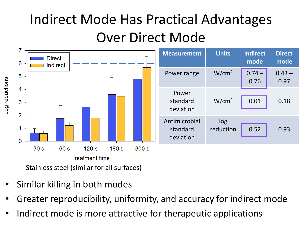### Indirect Mode Has Practical Advantages Over Direct Mode



- Similar killing in both modes
- Greater reproducibility, uniformity, and accuracy for indirect mode
- Indirect mode is more attractive for therapeutic applications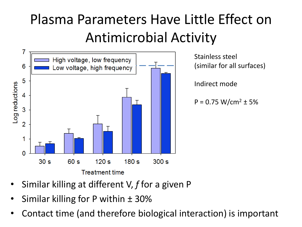### Plasma Parameters Have Little Effect on Antimicrobial Activity



- Similar killing at different V, *f* for a given P
- Similar killing for P within  $\pm$  30%
- Contact time (and therefore biological interaction) is important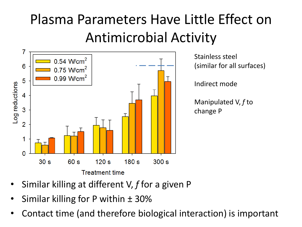### Plasma Parameters Have Little Effect on Antimicrobial Activity



- Similar killing at different V, *f* for a given P
- Similar killing for P within  $\pm$  30%
- Contact time (and therefore biological interaction) is important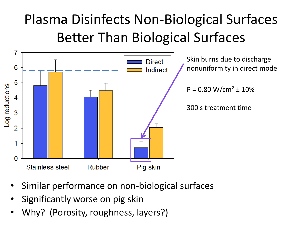### Plasma Disinfects Non-Biological Surfaces Better Than Biological Surfaces



- Similar performance on non-biological surfaces
- Significantly worse on pig skin
- Why? (Porosity, roughness, layers?)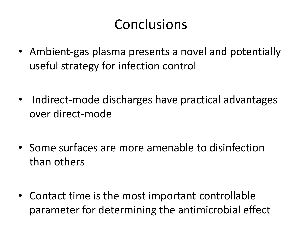### **Conclusions**

- Ambient-gas plasma presents a novel and potentially useful strategy for infection control
- Indirect-mode discharges have practical advantages over direct-mode
- Some surfaces are more amenable to disinfection than others
- Contact time is the most important controllable parameter for determining the antimicrobial effect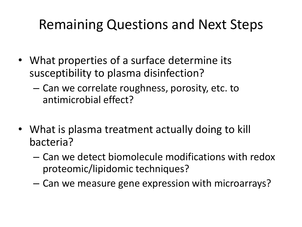### Remaining Questions and Next Steps

- What properties of a surface determine its susceptibility to plasma disinfection?
	- Can we correlate roughness, porosity, etc. to antimicrobial effect?
- What is plasma treatment actually doing to kill bacteria?
	- Can we detect biomolecule modifications with redox proteomic/lipidomic techniques?
	- Can we measure gene expression with microarrays?